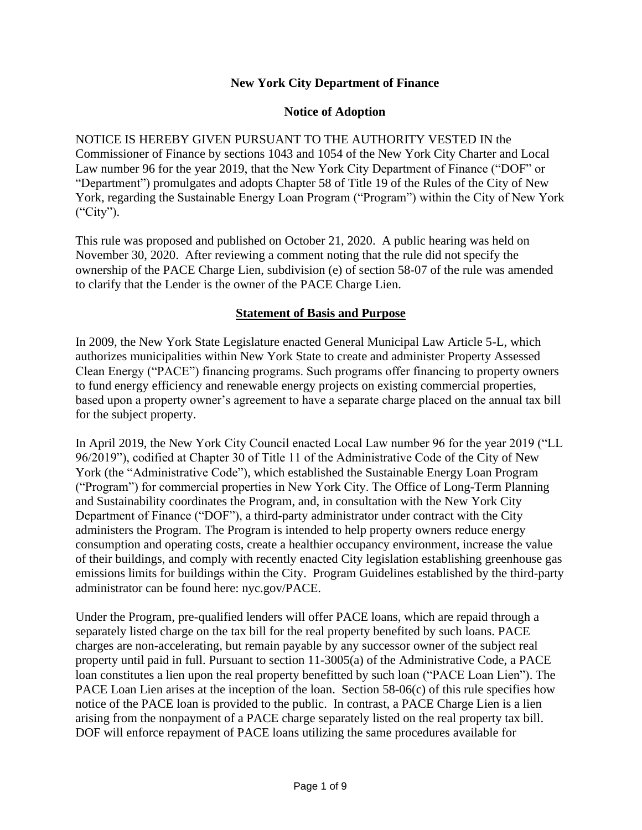#### **New York City Department of Finance**

#### **Notice of Adoption**

NOTICE IS HEREBY GIVEN PURSUANT TO THE AUTHORITY VESTED IN the Commissioner of Finance by sections 1043 and 1054 of the New York City Charter and Local Law number 96 for the year 2019, that the New York City Department of Finance ("DOF" or "Department") promulgates and adopts Chapter 58 of Title 19 of the Rules of the City of New York, regarding the Sustainable Energy Loan Program ("Program") within the City of New York ("City").

This rule was proposed and published on October 21, 2020. A public hearing was held on November 30, 2020. After reviewing a comment noting that the rule did not specify the ownership of the PACE Charge Lien, subdivision (e) of section 58-07 of the rule was amended to clarify that the Lender is the owner of the PACE Charge Lien.

#### **Statement of Basis and Purpose**

In 2009, the New York State Legislature enacted General Municipal Law Article 5-L, which authorizes municipalities within New York State to create and administer Property Assessed Clean Energy ("PACE") financing programs. Such programs offer financing to property owners to fund energy efficiency and renewable energy projects on existing commercial properties, based upon a property owner's agreement to have a separate charge placed on the annual tax bill for the subject property.

In April 2019, the New York City Council enacted Local Law number 96 for the year 2019 ("LL 96/2019"), codified at Chapter 30 of Title 11 of the Administrative Code of the City of New York (the "Administrative Code"), which established the Sustainable Energy Loan Program ("Program") for commercial properties in New York City. The Office of Long-Term Planning and Sustainability coordinates the Program, and, in consultation with the New York City Department of Finance ("DOF"), a third-party administrator under contract with the City administers the Program. The Program is intended to help property owners reduce energy consumption and operating costs, create a healthier occupancy environment, increase the value of their buildings, and comply with recently enacted City legislation establishing greenhouse gas emissions limits for buildings within the City. Program Guidelines established by the third-party administrator can be found here: nyc.gov/PACE.

Under the Program, pre-qualified lenders will offer PACE loans, which are repaid through a separately listed charge on the tax bill for the real property benefited by such loans. PACE charges are non-accelerating, but remain payable by any successor owner of the subject real property until paid in full. Pursuant to section 11-3005(a) of the Administrative Code, a PACE loan constitutes a lien upon the real property benefitted by such loan ("PACE Loan Lien"). The PACE Loan Lien arises at the inception of the loan. Section 58-06(c) of this rule specifies how notice of the PACE loan is provided to the public. In contrast, a PACE Charge Lien is a lien arising from the nonpayment of a PACE charge separately listed on the real property tax bill. DOF will enforce repayment of PACE loans utilizing the same procedures available for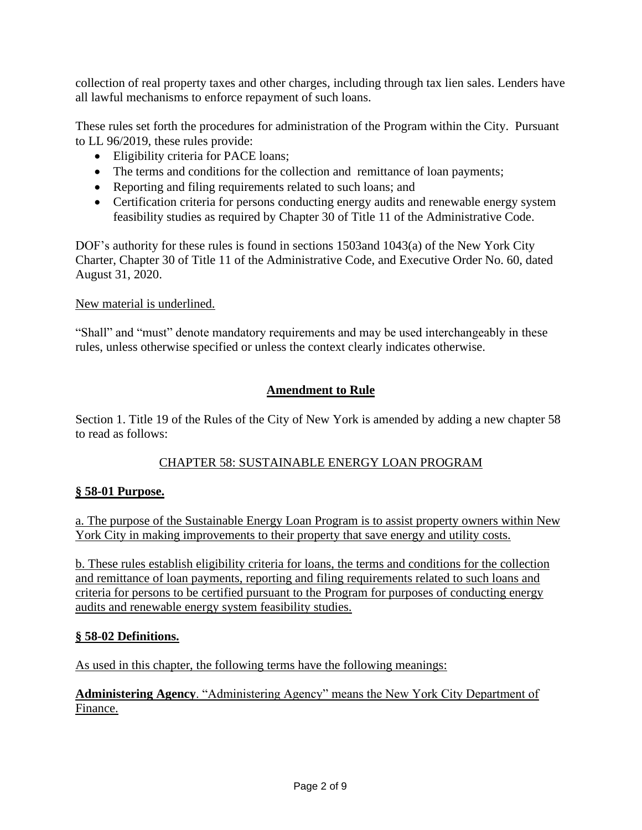collection of real property taxes and other charges, including through tax lien sales. Lenders have all lawful mechanisms to enforce repayment of such loans.

These rules set forth the procedures for administration of the Program within the City. Pursuant to LL 96/2019, these rules provide:

- Eligibility criteria for PACE loans;
- The terms and conditions for the collection and remittance of loan payments;
- Reporting and filing requirements related to such loans; and
- Certification criteria for persons conducting energy audits and renewable energy system feasibility studies as required by Chapter 30 of Title 11 of the Administrative Code.

DOF's authority for these rules is found in sections 1503and 1043(a) of the New York City Charter, Chapter 30 of Title 11 of the Administrative Code, and Executive Order No. 60, dated August 31, 2020.

#### New material is underlined.

"Shall" and "must" denote mandatory requirements and may be used interchangeably in these rules, unless otherwise specified or unless the context clearly indicates otherwise.

## **Amendment to Rule**

Section 1. Title 19 of the Rules of the City of New York is amended by adding a new chapter 58 to read as follows:

## CHAPTER 58: SUSTAINABLE ENERGY LOAN PROGRAM

## **§ 58-01 Purpose.**

a. The purpose of the Sustainable Energy Loan Program is to assist property owners within New York City in making improvements to their property that save energy and utility costs.

b. These rules establish eligibility criteria for loans, the terms and conditions for the collection and remittance of loan payments, reporting and filing requirements related to such loans and criteria for persons to be certified pursuant to the Program for purposes of conducting energy audits and renewable energy system feasibility studies.

#### **§ 58-02 Definitions.**

As used in this chapter, the following terms have the following meanings:

**Administering Agency**. "Administering Agency" means the New York City Department of Finance.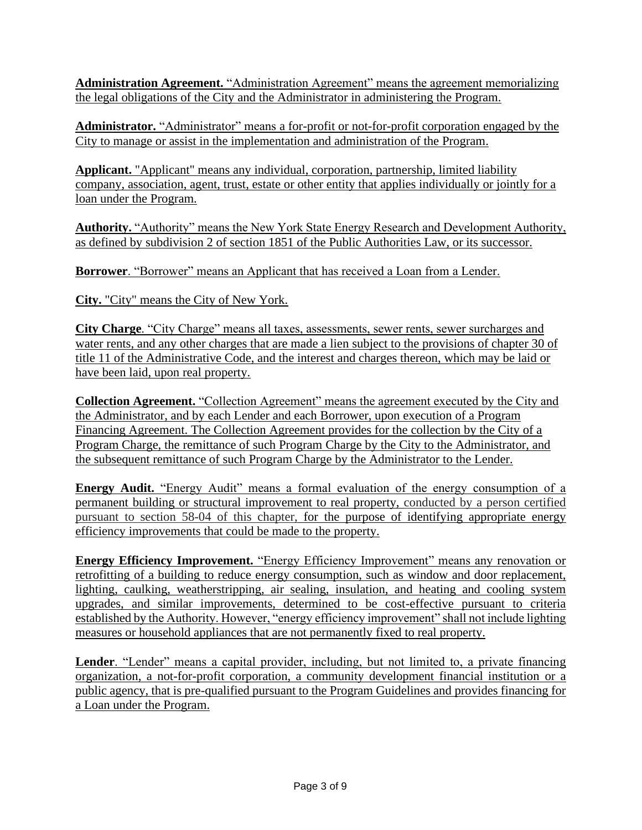**Administration Agreement.** "Administration Agreement" means the agreement memorializing the legal obligations of the City and the Administrator in administering the Program.

**Administrator.** "Administrator" means a for-profit or not-for-profit corporation engaged by the City to manage or assist in the implementation and administration of the Program.

**Applicant.** "Applicant" means any individual, corporation, partnership, limited liability company, association, agent, trust, estate or other entity that applies individually or jointly for a loan under the Program.

**Authority.** "Authority" means the New York State Energy Research and Development Authority, as defined by subdivision 2 of section 1851 of the Public Authorities Law, or its successor.

**Borrower**. "Borrower" means an Applicant that has received a Loan from a Lender.

**City.** "City" means the City of New York.

**City Charge**. "City Charge" means all taxes, assessments, sewer rents, sewer surcharges and water rents, and any other charges that are made a lien subject to the provisions of chapter 30 of title 11 of the Administrative Code, and the interest and charges thereon, which may be laid or have been laid, upon real property.

**Collection Agreement.** "Collection Agreement" means the agreement executed by the City and the Administrator, and by each Lender and each Borrower, upon execution of a Program Financing Agreement. The Collection Agreement provides for the collection by the City of a Program Charge, the remittance of such Program Charge by the City to the Administrator, and the subsequent remittance of such Program Charge by the Administrator to the Lender.

**Energy Audit.** "Energy Audit" means a formal evaluation of the energy consumption of a permanent building or structural improvement to real property, conducted by a person certified pursuant to section 58-04 of this chapter, for the purpose of identifying appropriate energy efficiency improvements that could be made to the property.

**Energy Efficiency Improvement.** "Energy Efficiency Improvement" means any renovation or retrofitting of a building to reduce energy consumption, such as window and door replacement, lighting, caulking, weatherstripping, air sealing, insulation, and heating and cooling system upgrades, and similar improvements, determined to be cost-effective pursuant to criteria established by the Authority. However, "energy efficiency improvement" shall not include lighting measures or household appliances that are not permanently fixed to real property.

Lender. "Lender" means a capital provider, including, but not limited to, a private financing organization, a not-for-profit corporation, a community development financial institution or a public agency, that is pre-qualified pursuant to the Program Guidelines and provides financing for a Loan under the Program.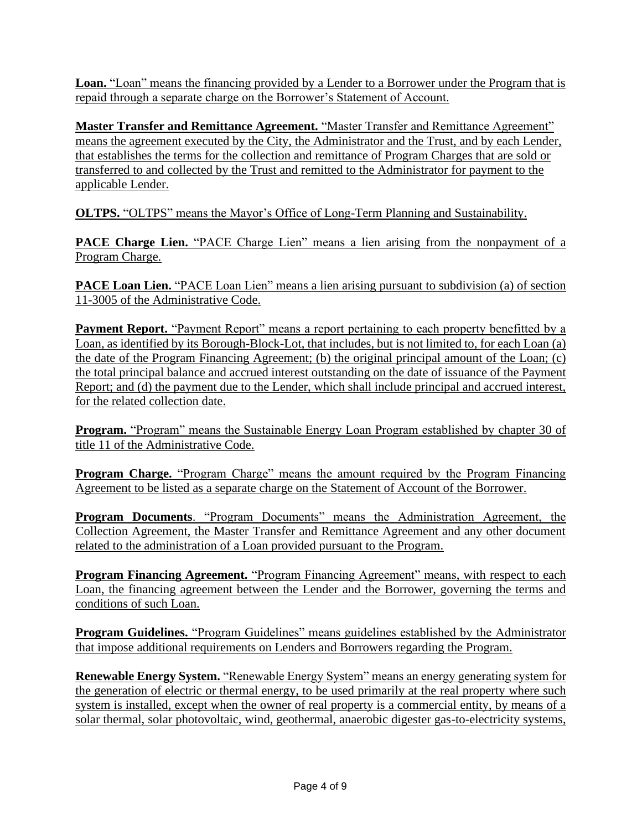Loan. "Loan" means the financing provided by a Lender to a Borrower under the Program that is repaid through a separate charge on the Borrower's Statement of Account.

**Master Transfer and Remittance Agreement.** "Master Transfer and Remittance Agreement" means the agreement executed by the City, the Administrator and the Trust, and by each Lender, that establishes the terms for the collection and remittance of Program Charges that are sold or transferred to and collected by the Trust and remitted to the Administrator for payment to the applicable Lender.

**OLTPS.** "OLTPS" means the Mayor's Office of Long-Term Planning and Sustainability.

**PACE Charge Lien.** "PACE Charge Lien" means a lien arising from the nonpayment of a Program Charge.

**PACE Loan Lien.** "PACE Loan Lien" means a lien arising pursuant to subdivision (a) of section 11-3005 of the Administrative Code.

**Payment Report.** "Payment Report" means a report pertaining to each property benefitted by a Loan, as identified by its Borough-Block-Lot, that includes, but is not limited to, for each Loan (a) the date of the Program Financing Agreement; (b) the original principal amount of the Loan; (c) the total principal balance and accrued interest outstanding on the date of issuance of the Payment Report; and (d) the payment due to the Lender, which shall include principal and accrued interest, for the related collection date.

**Program.** "Program" means the Sustainable Energy Loan Program established by chapter 30 of title 11 of the Administrative Code.

**Program Charge.** "Program Charge" means the amount required by the Program Financing Agreement to be listed as a separate charge on the Statement of Account of the Borrower.

**Program Documents**. "Program Documents" means the Administration Agreement, the Collection Agreement, the Master Transfer and Remittance Agreement and any other document related to the administration of a Loan provided pursuant to the Program.

**Program Financing Agreement.** "Program Financing Agreement" means, with respect to each Loan, the financing agreement between the Lender and the Borrower, governing the terms and conditions of such Loan.

**Program Guidelines.** "Program Guidelines" means guidelines established by the Administrator that impose additional requirements on Lenders and Borrowers regarding the Program.

**Renewable Energy System.** "Renewable Energy System" means an energy generating system for the generation of electric or thermal energy, to be used primarily at the real property where such system is installed, except when the owner of real property is a commercial entity, by means of a solar thermal, solar photovoltaic, wind, geothermal, anaerobic digester gas-to-electricity systems,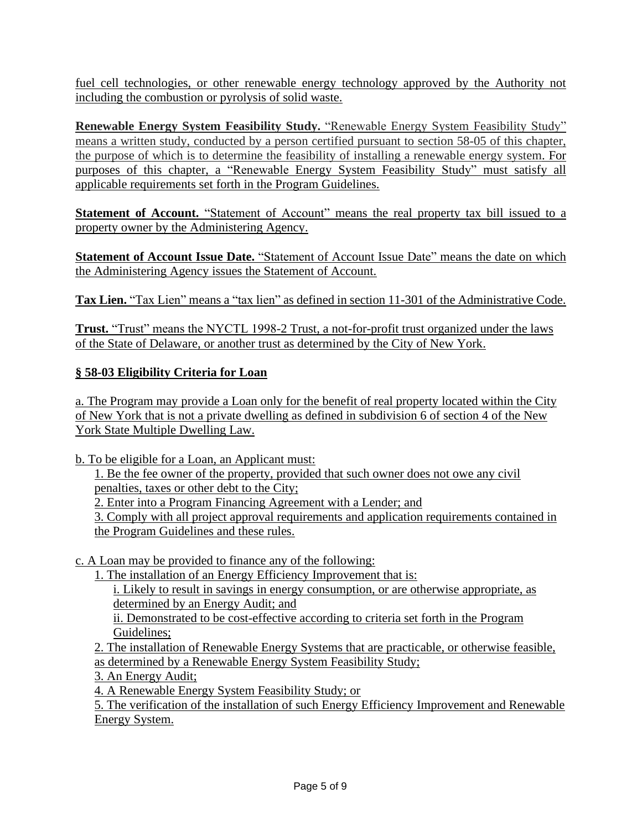fuel cell technologies, or other renewable energy technology approved by the Authority not including the combustion or pyrolysis of solid waste.

**Renewable Energy System Feasibility Study.** "Renewable Energy System Feasibility Study" means a written study, conducted by a person certified pursuant to section 58-05 of this chapter, the purpose of which is to determine the feasibility of installing a renewable energy system. For purposes of this chapter, a "Renewable Energy System Feasibility Study" must satisfy all applicable requirements set forth in the Program Guidelines.

**Statement of Account.** "Statement of Account" means the real property tax bill issued to a property owner by the Administering Agency.

**Statement of Account Issue Date.** "Statement of Account Issue Date" means the date on which the Administering Agency issues the Statement of Account.

**Tax Lien.** "Tax Lien" means a "tax lien" as defined in section 11-301 of the Administrative Code.

**Trust.** "Trust" means the NYCTL 1998-2 Trust, a not-for-profit trust organized under the laws of the State of Delaware, or another trust as determined by the City of New York.

## **§ 58-03 Eligibility Criteria for Loan**

a. The Program may provide a Loan only for the benefit of real property located within the City of New York that is not a private dwelling as defined in subdivision 6 of section 4 of the New York State Multiple Dwelling Law.

b. To be eligible for a Loan, an Applicant must:

1. Be the fee owner of the property, provided that such owner does not owe any civil penalties, taxes or other debt to the City;

2. Enter into a Program Financing Agreement with a Lender; and

3. Comply with all project approval requirements and application requirements contained in the Program Guidelines and these rules.

c. A Loan may be provided to finance any of the following:

1. The installation of an Energy Efficiency Improvement that is:

i. Likely to result in savings in energy consumption, or are otherwise appropriate, as determined by an Energy Audit; and

ii. Demonstrated to be cost-effective according to criteria set forth in the Program Guidelines;

2. The installation of Renewable Energy Systems that are practicable, or otherwise feasible, as determined by a Renewable Energy System Feasibility Study;

3. An Energy Audit;

4. A Renewable Energy System Feasibility Study; or

5. The verification of the installation of such Energy Efficiency Improvement and Renewable Energy System.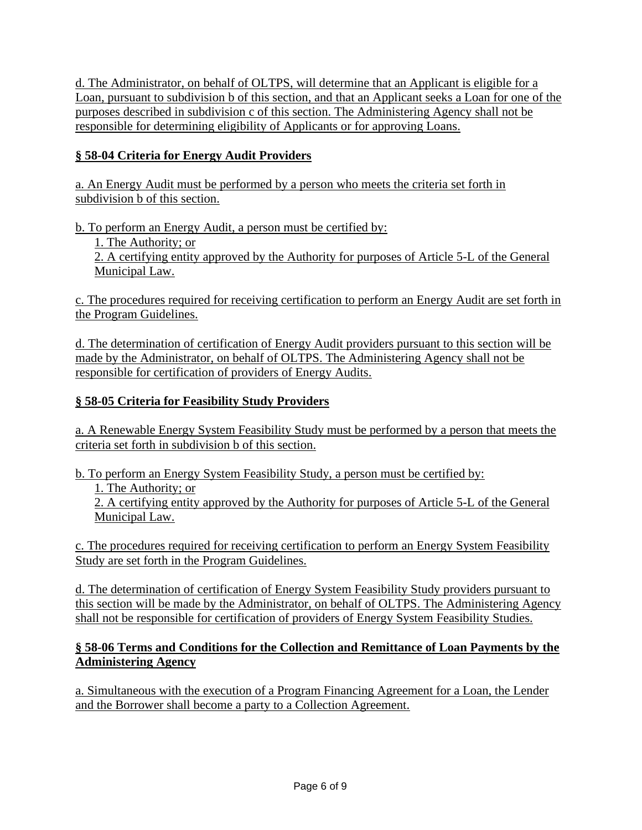d. The Administrator, on behalf of OLTPS, will determine that an Applicant is eligible for a Loan, pursuant to subdivision b of this section, and that an Applicant seeks a Loan for one of the purposes described in subdivision c of this section. The Administering Agency shall not be responsible for determining eligibility of Applicants or for approving Loans.

# **§ 58-04 Criteria for Energy Audit Providers**

a. An Energy Audit must be performed by a person who meets the criteria set forth in subdivision b of this section.

b. To perform an Energy Audit, a person must be certified by:

1. The Authority; or

2. A certifying entity approved by the Authority for purposes of Article 5-L of the General Municipal Law.

c. The procedures required for receiving certification to perform an Energy Audit are set forth in the Program Guidelines.

d. The determination of certification of Energy Audit providers pursuant to this section will be made by the Administrator, on behalf of OLTPS. The Administering Agency shall not be responsible for certification of providers of Energy Audits.

# **§ 58-05 Criteria for Feasibility Study Providers**

a. A Renewable Energy System Feasibility Study must be performed by a person that meets the criteria set forth in subdivision b of this section.

b. To perform an Energy System Feasibility Study, a person must be certified by:

1. The Authority; or

2. A certifying entity approved by the Authority for purposes of Article 5-L of the General Municipal Law.

c. The procedures required for receiving certification to perform an Energy System Feasibility Study are set forth in the Program Guidelines.

d. The determination of certification of Energy System Feasibility Study providers pursuant to this section will be made by the Administrator, on behalf of OLTPS. The Administering Agency shall not be responsible for certification of providers of Energy System Feasibility Studies.

## **§ 58-06 Terms and Conditions for the Collection and Remittance of Loan Payments by the Administering Agency**

a. Simultaneous with the execution of a Program Financing Agreement for a Loan, the Lender and the Borrower shall become a party to a Collection Agreement.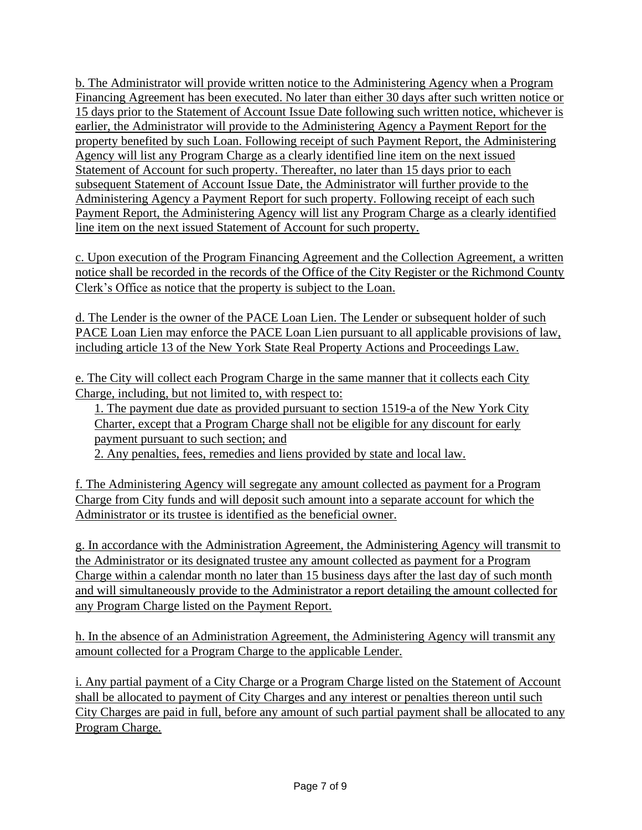b. The Administrator will provide written notice to the Administering Agency when a Program Financing Agreement has been executed. No later than either 30 days after such written notice or 15 days prior to the Statement of Account Issue Date following such written notice, whichever is earlier, the Administrator will provide to the Administering Agency a Payment Report for the property benefited by such Loan. Following receipt of such Payment Report, the Administering Agency will list any Program Charge as a clearly identified line item on the next issued Statement of Account for such property. Thereafter, no later than 15 days prior to each subsequent Statement of Account Issue Date, the Administrator will further provide to the Administering Agency a Payment Report for such property. Following receipt of each such Payment Report, the Administering Agency will list any Program Charge as a clearly identified line item on the next issued Statement of Account for such property.

c. Upon execution of the Program Financing Agreement and the Collection Agreement, a written notice shall be recorded in the records of the Office of the City Register or the Richmond County Clerk's Office as notice that the property is subject to the Loan.

d. The Lender is the owner of the PACE Loan Lien. The Lender or subsequent holder of such PACE Loan Lien may enforce the PACE Loan Lien pursuant to all applicable provisions of law, including article 13 of the New York State Real Property Actions and Proceedings Law.

e. The City will collect each Program Charge in the same manner that it collects each City Charge, including, but not limited to, with respect to:

1. The payment due date as provided pursuant to section 1519-a of the New York City Charter, except that a Program Charge shall not be eligible for any discount for early payment pursuant to such section; and

2. Any penalties, fees, remedies and liens provided by state and local law.

f. The Administering Agency will segregate any amount collected as payment for a Program Charge from City funds and will deposit such amount into a separate account for which the Administrator or its trustee is identified as the beneficial owner.

g. In accordance with the Administration Agreement, the Administering Agency will transmit to the Administrator or its designated trustee any amount collected as payment for a Program Charge within a calendar month no later than 15 business days after the last day of such month and will simultaneously provide to the Administrator a report detailing the amount collected for any Program Charge listed on the Payment Report.

h. In the absence of an Administration Agreement, the Administering Agency will transmit any amount collected for a Program Charge to the applicable Lender.

i. Any partial payment of a City Charge or a Program Charge listed on the Statement of Account shall be allocated to payment of City Charges and any interest or penalties thereon until such City Charges are paid in full, before any amount of such partial payment shall be allocated to any Program Charge.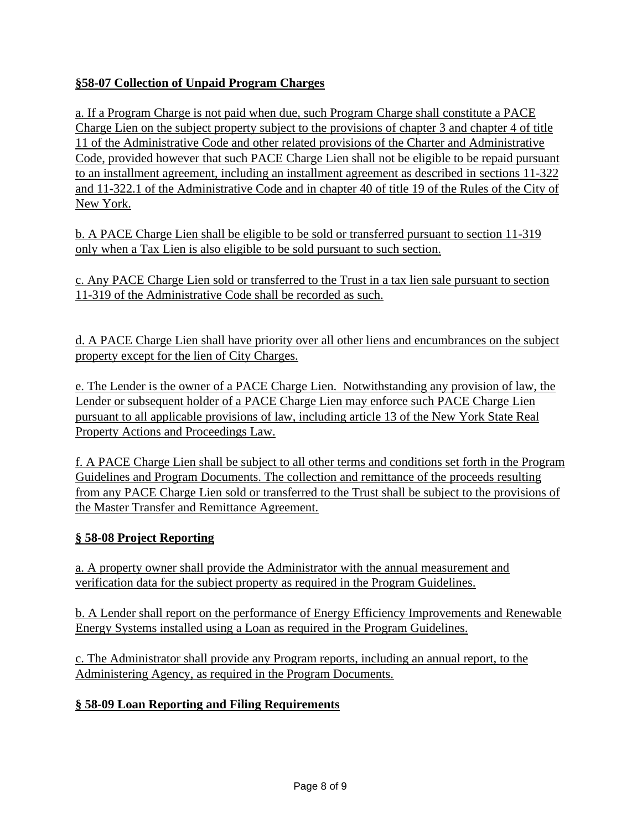# **§58-07 Collection of Unpaid Program Charges**

a. If a Program Charge is not paid when due, such Program Charge shall constitute a PACE Charge Lien on the subject property subject to the provisions of chapter 3 and chapter 4 of title 11 of the Administrative Code and other related provisions of the Charter and Administrative Code, provided however that such PACE Charge Lien shall not be eligible to be repaid pursuant to an installment agreement, including an installment agreement as described in sections 11-322 and 11-322.1 of the Administrative Code and in chapter 40 of title 19 of the Rules of the City of New York.

b. A PACE Charge Lien shall be eligible to be sold or transferred pursuant to section 11-319 only when a Tax Lien is also eligible to be sold pursuant to such section.

c. Any PACE Charge Lien sold or transferred to the Trust in a tax lien sale pursuant to section 11-319 of the Administrative Code shall be recorded as such.

d. A PACE Charge Lien shall have priority over all other liens and encumbrances on the subject property except for the lien of City Charges.

e. The Lender is the owner of a PACE Charge Lien. Notwithstanding any provision of law, the Lender or subsequent holder of a PACE Charge Lien may enforce such PACE Charge Lien pursuant to all applicable provisions of law, including article 13 of the New York State Real Property Actions and Proceedings Law.

f. A PACE Charge Lien shall be subject to all other terms and conditions set forth in the Program Guidelines and Program Documents. The collection and remittance of the proceeds resulting from any PACE Charge Lien sold or transferred to the Trust shall be subject to the provisions of the Master Transfer and Remittance Agreement.

# **§ 58-08 Project Reporting**

a. A property owner shall provide the Administrator with the annual measurement and verification data for the subject property as required in the Program Guidelines.

b. A Lender shall report on the performance of Energy Efficiency Improvements and Renewable Energy Systems installed using a Loan as required in the Program Guidelines.

c. The Administrator shall provide any Program reports, including an annual report, to the Administering Agency, as required in the Program Documents.

# **§ 58-09 Loan Reporting and Filing Requirements**